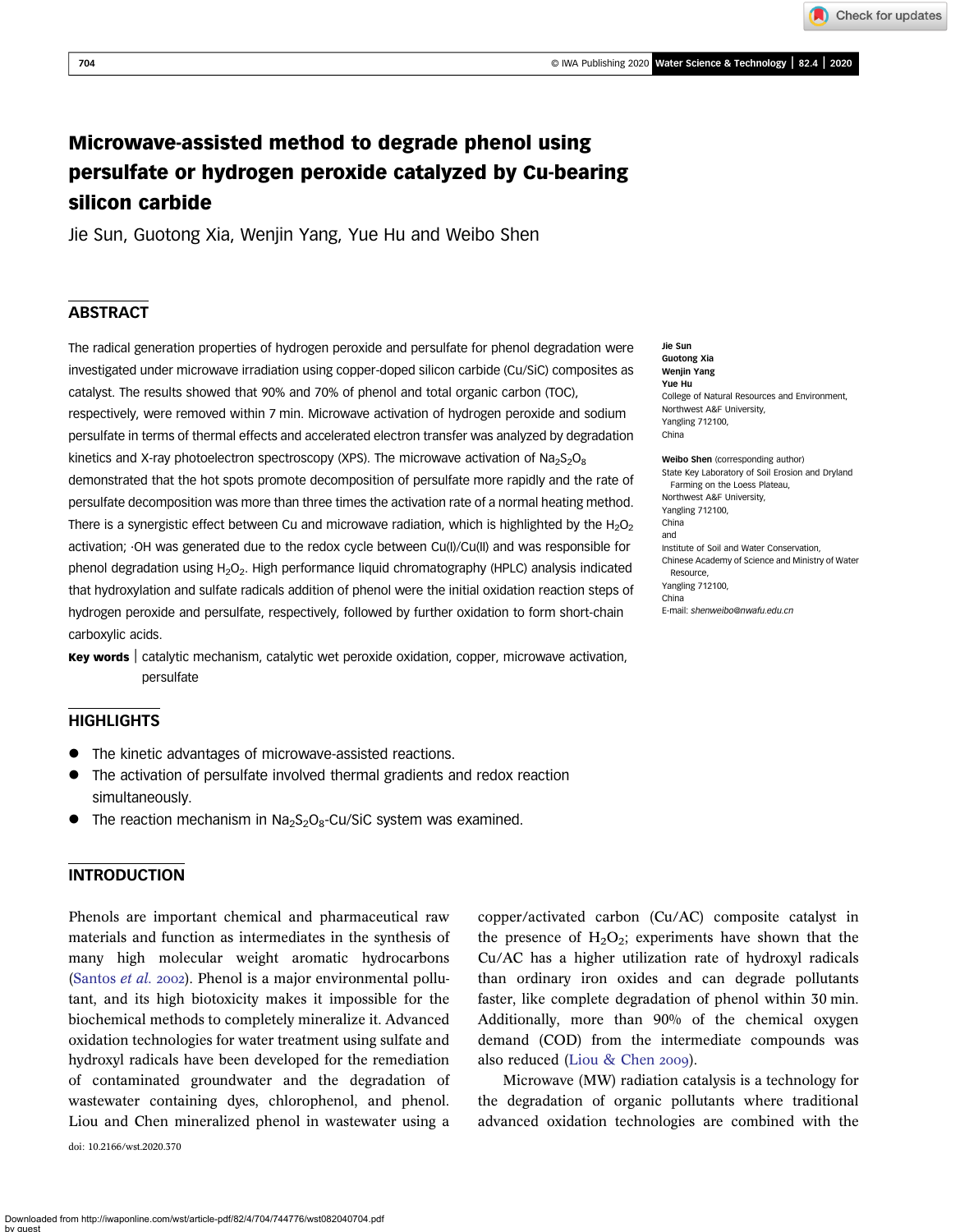Check for updates

# Microwave-assisted method to degrade phenol using persulfate or hydrogen peroxide catalyzed by Cu-bearing silicon carbide

Jie Sun, Guotong Xia, Wenjin Yang, Yue Hu and Weibo Shen

# ABSTRACT

The radical generation properties of hydrogen peroxide and persulfate for phenol degradation were investigated under microwave irradiation using copper-doped silicon carbide (Cu/SiC) composites as catalyst. The results showed that 90% and 70% of phenol and total organic carbon (TOC), respectively, were removed within 7 min. Microwave activation of hydrogen peroxide and sodium persulfate in terms of thermal effects and accelerated electron transfer was analyzed by degradation kinetics and X-ray photoelectron spectroscopy (XPS). The microwave activation of Na<sub>2</sub>S<sub>2</sub>O<sub>8</sub> demonstrated that the hot spots promote decomposition of persulfate more rapidly and the rate of persulfate decomposition was more than three times the activation rate of a normal heating method. There is a synergistic effect between Cu and microwave radiation, which is highlighted by the  $H_2O_2$ activation; ·OH was generated due to the redox cycle between Cu(I)/Cu(II) and was responsible for phenol degradation using H<sub>2</sub>O<sub>2</sub>. High performance liquid chromatography (HPLC) analysis indicated that hydroxylation and sulfate radicals addition of phenol were the initial oxidation reaction steps of hydrogen peroxide and persulfate, respectively, followed by further oxidation to form short-chain carboxylic acids.

Key words | catalytic mechanism, catalytic wet peroxide oxidation, copper, microwave activation, persulfate

# **HIGHLIGHTS**

- The kinetic advantages of microwave-assisted reactions.
- The activation of persulfate involved thermal gradients and redox reaction simultaneously.
- The reaction mechanism in  $Na<sub>2</sub>S<sub>2</sub>O<sub>8</sub>$ -Cu/SiC system was examined.

# INTRODUCTION

Phenols are important chemical and pharmaceutical raw materials and function as intermediates in the synthesis of many high molecular weight aromatic hydrocarbons ([Santos](#page-9-0) et al. 2002). Phenol is a major environmental pollutant, and its high biotoxicity makes it impossible for the biochemical methods to completely mineralize it. Advanced oxidation technologies for water treatment using sulfate and hydroxyl radicals have been developed for the remediation of contaminated groundwater and the degradation of wastewater containing dyes, chlorophenol, and phenol. Liou and Chen mineralized phenol in wastewater using a

doi: 10.2166/wst.2020.370

Jie Sun Guotong Xia Wenjin Yang Yue Hu College of Natural Resources and Environment, Northwest A&F University, Yangling 712100, China

Weibo Shen (corresponding author) State Key Laboratory of Soil Erosion and Dryland Farming on the Loess Plateau, Northwest A&F University, Yangling 712100, China and Institute of Soil and Water Conservation, Chinese Academy of Science and Ministry of Water Resource, Yangling 712100, China E-mail: [shenweibo@nwafu.edu.cn](mailto:shenweibo@nwafu.edu.cn)

copper/activated carbon (Cu/AC) composite catalyst in the presence of  $H_2O_2$ ; experiments have shown that the Cu/AC has a higher utilization rate of hydroxyl radicals than ordinary iron oxides and can degrade pollutants faster, like complete degradation of phenol within 30 min. Additionally, more than 90% of the chemical oxygen demand (COD) from the intermediate compounds was also reduced [\(Liou & Chen](#page-9-0) 2009).

Microwave (MW) radiation catalysis is a technology for the degradation of organic pollutants where traditional advanced oxidation technologies are combined with the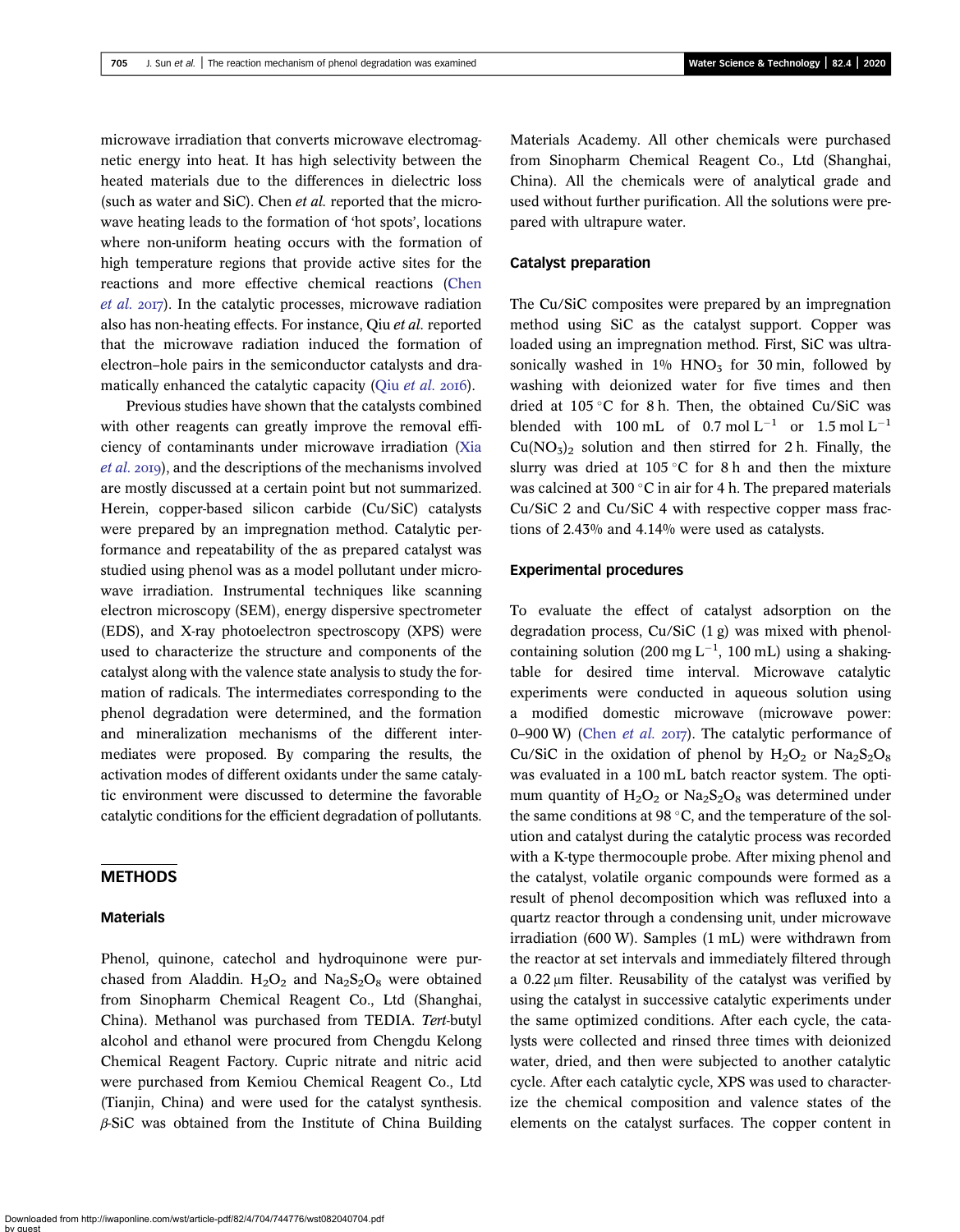microwave irradiation that converts microwave electromagnetic energy into heat. It has high selectivity between the heated materials due to the differences in dielectric loss (such as water and SiC). Chen et al. reported that the microwave heating leads to the formation of 'hot spots', locations where non-uniform heating occurs with the formation of high temperature regions that provide active sites for the reactions and more effective chemical reactions [\(Chen](#page-9-0) [et al.](#page-9-0) 2017). In the catalytic processes, microwave radiation also has non-heating effects. For instance, Qiu et al. reported that the microwave radiation induced the formation of electron–hole pairs in the semiconductor catalysts and dramatically enhanced the catalytic capacity (Qiu [et al.](#page-9-0) 2016).

Previous studies have shown that the catalysts combined with other reagents can greatly improve the removal efficiency of contaminants under microwave irradiation ([Xia](#page-10-0) [et al.](#page-10-0) 2019), and the descriptions of the mechanisms involved are mostly discussed at a certain point but not summarized. Herein, copper-based silicon carbide (Cu/SiC) catalysts were prepared by an impregnation method. Catalytic performance and repeatability of the as prepared catalyst was studied using phenol was as a model pollutant under microwave irradiation. Instrumental techniques like scanning electron microscopy (SEM), energy dispersive spectrometer (EDS), and X-ray photoelectron spectroscopy (XPS) were used to characterize the structure and components of the catalyst along with the valence state analysis to study the formation of radicals. The intermediates corresponding to the phenol degradation were determined, and the formation and mineralization mechanisms of the different intermediates were proposed. By comparing the results, the activation modes of different oxidants under the same catalytic environment were discussed to determine the favorable catalytic conditions for the efficient degradation of pollutants.

# METHODS

#### Materials

Phenol, quinone, catechol and hydroquinone were purchased from Aladdin.  $H_2O_2$  and  $Na_2S_2O_8$  were obtained from Sinopharm Chemical Reagent Co., Ltd (Shanghai, China). Methanol was purchased from TEDIA. Tert-butyl alcohol and ethanol were procured from Chengdu Kelong Chemical Reagent Factory. Cupric nitrate and nitric acid were purchased from Kemiou Chemical Reagent Co., Ltd (Tianjin, China) and were used for the catalyst synthesis. β-SiC was obtained from the Institute of China Building Materials Academy. All other chemicals were purchased from Sinopharm Chemical Reagent Co., Ltd (Shanghai, China). All the chemicals were of analytical grade and used without further purification. All the solutions were prepared with ultrapure water.

### Catalyst preparation

The Cu/SiC composites were prepared by an impregnation method using SiC as the catalyst support. Copper was loaded using an impregnation method. First, SiC was ultrasonically washed in  $1\%$  HNO<sub>3</sub> for 30 min, followed by washing with deionized water for five times and then dried at  $105^{\circ}$ C for 8 h. Then, the obtained Cu/SiC was blended with 100 mL of  $0.7 \text{ mol L}^{-1}$  or  $1.5 \text{ mol L}^{-1}$  $Cu(NO<sub>3</sub>)<sub>2</sub>$  solution and then stirred for 2 h. Finally, the slurry was dried at 105 °C for 8 h and then the mixture was calcined at 300 $\degree$ C in air for 4 h. The prepared materials Cu/SiC 2 and Cu/SiC 4 with respective copper mass fractions of 2.43% and 4.14% were used as catalysts.

#### Experimental procedures

To evaluate the effect of catalyst adsorption on the degradation process, Cu/SiC (1 g) was mixed with phenolcontaining solution (200 mg  $L^{-1}$ , 100 mL) using a shakingtable for desired time interval. Microwave catalytic experiments were conducted in aqueous solution using a modified domestic microwave (microwave power: 0–900 W) [\(Chen](#page-9-0) et al. 2017). The catalytic performance of Cu/SiC in the oxidation of phenol by  $H_2O_2$  or  $Na_2S_2O_8$ was evaluated in a 100 mL batch reactor system. The optimum quantity of  $H_2O_2$  or  $Na_2S_2O_8$  was determined under the same conditions at 98  $\degree$ C, and the temperature of the solution and catalyst during the catalytic process was recorded with a K-type thermocouple probe. After mixing phenol and the catalyst, volatile organic compounds were formed as a result of phenol decomposition which was refluxed into a quartz reactor through a condensing unit, under microwave irradiation (600 W). Samples (1 mL) were withdrawn from the reactor at set intervals and immediately filtered through a 0.22 μm filter. Reusability of the catalyst was verified by using the catalyst in successive catalytic experiments under the same optimized conditions. After each cycle, the catalysts were collected and rinsed three times with deionized water, dried, and then were subjected to another catalytic cycle. After each catalytic cycle, XPS was used to characterize the chemical composition and valence states of the elements on the catalyst surfaces. The copper content in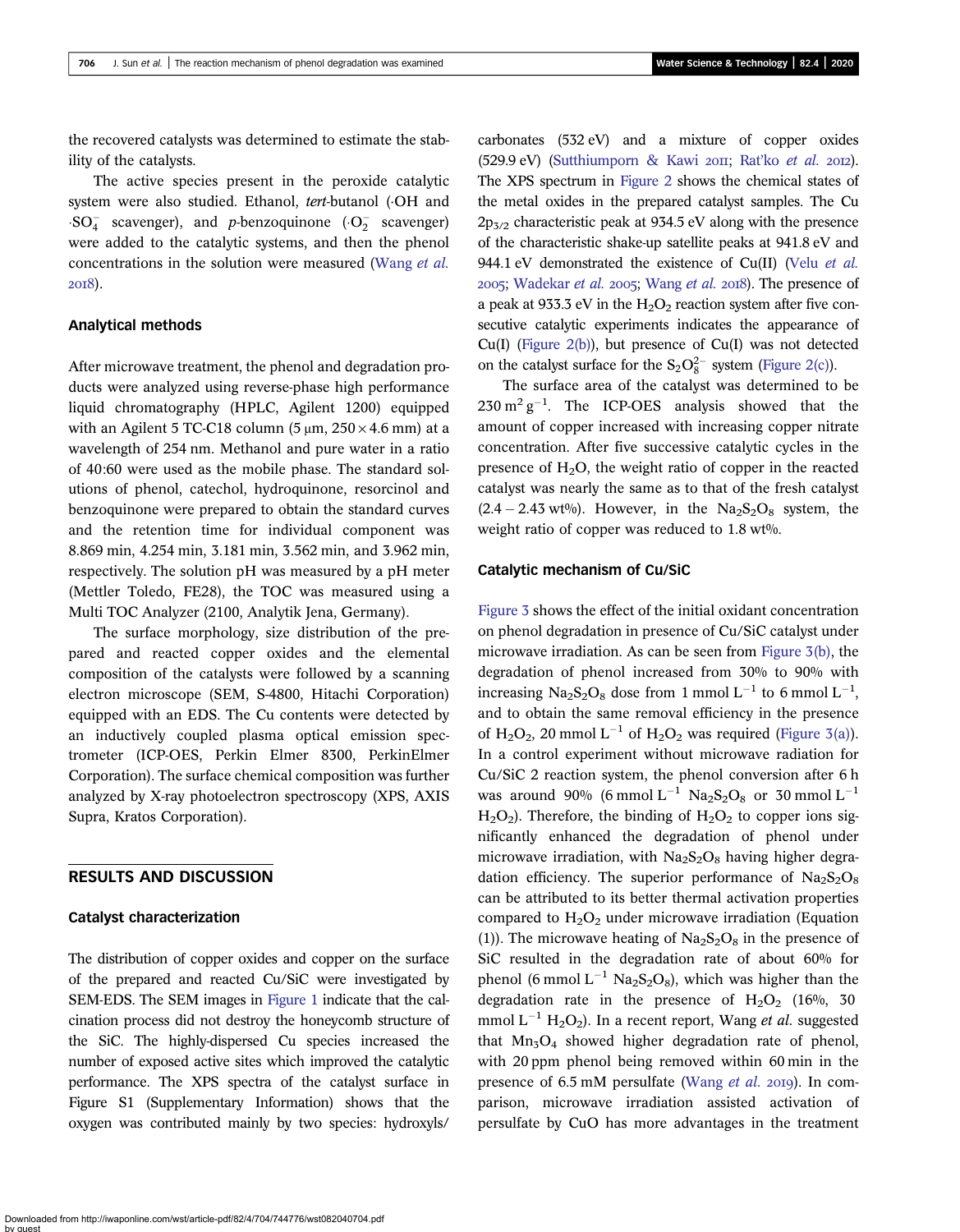the recovered catalysts was determined to estimate the stability of the catalysts.

The active species present in the peroxide catalytic system were also studied. Ethanol, tert-butanol (OH and  $\cdot SO_4^-$  scavenger), and *p*-benzoquinone ( $\cdot O_2^-$  scavenger) were added to the catalytic systems, and then the phenol concentrations in the solution were measured [\(Wang](#page-10-0) et al. 2018).

### Analytical methods

After microwave treatment, the phenol and degradation products were analyzed using reverse-phase high performance liquid chromatography (HPLC, Agilent 1200) equipped with an Agilent 5 TC-C18 column (5  $\mu$ m, 250 × 4.6 mm) at a wavelength of 254 nm. Methanol and pure water in a ratio of 40:60 were used as the mobile phase. The standard solutions of phenol, catechol, hydroquinone, resorcinol and benzoquinone were prepared to obtain the standard curves and the retention time for individual component was 8.869 min, 4.254 min, 3.181 min, 3.562 min, and 3.962 min, respectively. The solution pH was measured by a pH meter (Mettler Toledo, FE28), the TOC was measured using a Multi TOC Analyzer (2100, Analytik Jena, Germany).

The surface morphology, size distribution of the prepared and reacted copper oxides and the elemental composition of the catalysts were followed by a scanning electron microscope (SEM, S-4800, Hitachi Corporation) equipped with an EDS. The Cu contents were detected by an inductively coupled plasma optical emission spectrometer (ICP-OES, Perkin Elmer 8300, PerkinElmer Corporation). The surface chemical composition was further analyzed by X-ray photoelectron spectroscopy (XPS, AXIS Supra, Kratos Corporation).

# RESULTS AND DISCUSSION

#### Catalyst characterization

The distribution of copper oxides and copper on the surface of the prepared and reacted Cu/SiC were investigated by SEM-EDS. The SEM images in [Figure 1](#page-3-0) indicate that the calcination process did not destroy the honeycomb structure of the SiC. The highly-dispersed Cu species increased the number of exposed active sites which improved the catalytic performance. The XPS spectra of the catalyst surface in Figure S1 (Supplementary Information) shows that the oxygen was contributed mainly by two species: hydroxyls/

carbonates (532 eV) and a mixture of copper oxides  $(529.9 \text{ eV})$  [\(Sutthiumporn & Kawi](#page-10-0) 2011; Rat'ko [et al.](#page-9-0) 2012). The XPS spectrum in [Figure 2](#page-4-0) shows the chemical states of the metal oxides in the prepared catalyst samples. The Cu  $2p_{3/2}$  characteristic peak at 934.5 eV along with the presence of the characteristic shake-up satellite peaks at 941.8 eV and 944.1 eV demonstrated the existence of Cu(II) (Velu [et al.](#page-10-0)  $2005$ ; [Wadekar](#page-10-0) *et al.*  $2005$ ; [Wang](#page-10-0) *et al.*  $2018$ ). The presence of a peak at 933.3 eV in the  $H_2O_2$  reaction system after five consecutive catalytic experiments indicates the appearance of  $Cu(I)$  [\(Figure 2\(b\)](#page-4-0)), but presence of  $Cu(I)$  was not detected on the catalyst surface for the  $S_2O_8^{2-}$  system [\(Figure 2\(c\)\)](#page-4-0).

The surface area of the catalyst was determined to be  $230 \text{ m}^2 \text{ g}^{-1}$ . The ICP-OES analysis showed that the amount of copper increased with increasing copper nitrate concentration. After five successive catalytic cycles in the presence of  $H_2O$ , the weight ratio of copper in the reacted catalyst was nearly the same as to that of the fresh catalyst  $(2.4 - 2.43 \text{ wt\%})$ . However, in the Na<sub>2</sub>S<sub>2</sub>O<sub>8</sub> system, the weight ratio of copper was reduced to 1.8 wt%.

#### Catalytic mechanism of Cu/SiC

[Figure 3](#page-4-0) shows the effect of the initial oxidant concentration on phenol degradation in presence of Cu/SiC catalyst under microwave irradiation. As can be seen from [Figure 3\(b\),](#page-4-0) the degradation of phenol increased from 30% to 90% with increasing  $\text{Na}_2\text{S}_2\text{O}_8$  dose from 1 mmol L<sup>-1</sup> to 6 mmol L<sup>-1</sup>, and to obtain the same removal efficiency in the presence of H<sub>2</sub>O<sub>2</sub>, 20 mmol L<sup>-1</sup> of H<sub>2</sub>O<sub>2</sub> was required [\(Figure 3\(a\)](#page-4-0)). In a control experiment without microwave radiation for Cu/SiC 2 reaction system, the phenol conversion after 6 h was around 90% (6 mmol  $L^{-1}$  Na<sub>2</sub>S<sub>2</sub>O<sub>8</sub> or 30 mmol  $L^{-1}$  $H_2O_2$ ). Therefore, the binding of  $H_2O_2$  to copper ions significantly enhanced the degradation of phenol under microwave irradiation, with  $Na<sub>2</sub>S<sub>2</sub>O<sub>8</sub>$  having higher degradation efficiency. The superior performance of  $Na<sub>2</sub>S<sub>2</sub>O<sub>8</sub>$ can be attributed to its better thermal activation properties compared to  $H_2O_2$  under microwave irradiation (Equation (1)). The microwave heating of  $Na<sub>2</sub>S<sub>2</sub>O<sub>8</sub>$  in the presence of SiC resulted in the degradation rate of about 60% for phenol (6 mmol  $L^{-1}$  Na<sub>2</sub>S<sub>2</sub>O<sub>8</sub>), which was higher than the degradation rate in the presence of  $H_2O_2$  (16%, 30 mmol  $L^{-1}$  H<sub>2</sub>O<sub>2</sub>). In a recent report, Wang *et al.* suggested that  $Mn_3O_4$  showed higher degradation rate of phenol, with 20 ppm phenol being removed within 60 min in the presence of 6.5 mM persulfate [\(Wang](#page-10-0) et al. 2019). In comparison, microwave irradiation assisted activation of persulfate by CuO has more advantages in the treatment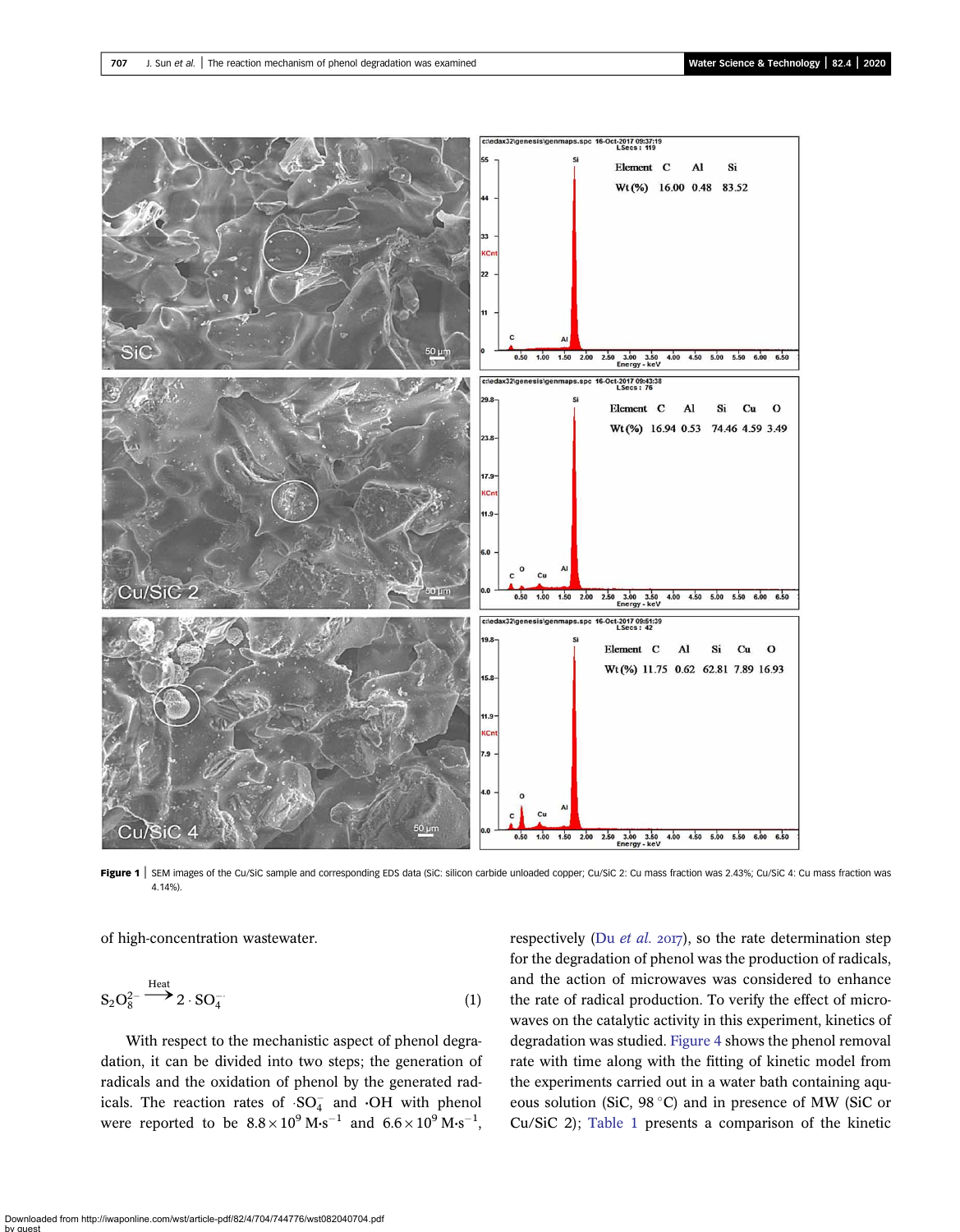<span id="page-3-0"></span>

Figure 1 | SEM images of the Cu/SiC sample and corresponding EDS data (SiC: silicon carbide unloaded copper; Cu/SiC 2: Cu mass fraction was 2.43%; Cu/SiC 4: Cu mass fraction was 4.14%).

of high-concentration wastewater.

$$
S_2O_8^{2-} \xrightarrow{\text{Heat}} 2 \cdot SO_4^- \tag{1}
$$

With respect to the mechanistic aspect of phenol degradation, it can be divided into two steps; the generation of radicals and the oxidation of phenol by the generated radicals. The reaction rates of  $SO_4^-$  and  $\cdot$ OH with phenol were reported to be  $8.8 \times 10^9$  M·s<sup>-1</sup> and  $6.6 \times 10^9$  M·s<sup>-1</sup>,

respectively (Du  $et$  al. 2017), so the rate determination step for the degradation of phenol was the production of radicals, and the action of microwaves was considered to enhance the rate of radical production. To verify the effect of microwaves on the catalytic activity in this experiment, kinetics of degradation was studied. [Figure 4](#page-5-0) shows the phenol removal rate with time along with the fitting of kinetic model from the experiments carried out in a water bath containing aqueous solution (SiC,  $98^{\circ}$ C) and in presence of MW (SiC or Cu/SiC 2); [Table 1](#page-5-0) presents a comparison of the kinetic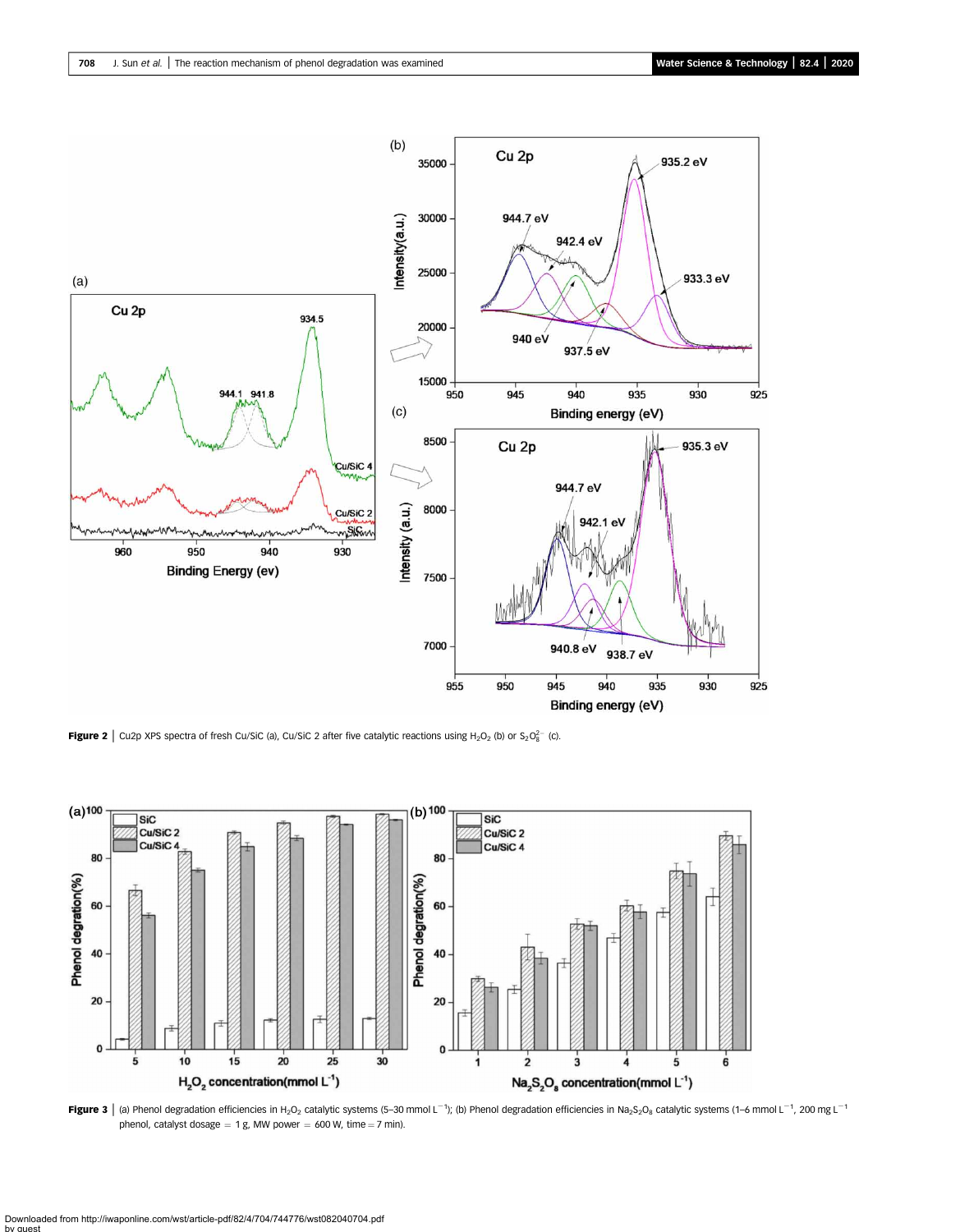<span id="page-4-0"></span>

**Figure 2** Cu2p XPS spectra of fresh Cu/SiC (a), Cu/SiC 2 after five catalytic reactions using H<sub>2</sub>O<sub>2</sub> (b) or S<sub>2</sub>O<sub>8</sub><sup>-</sup> (c).



Figure 3 | (a) Phenol degradation efficiencies in H<sub>2</sub>O<sub>2</sub> catalytic systems (5–30 mmol L<sup>-1</sup>); (b) Phenol degradation efficiencies in Na<sub>2</sub>S<sub>2</sub>O<sub>8</sub> catalytic systems (1–6 mmol L<sup>-1</sup>, 200 mg L<sup>-1</sup> phenol, catalyst dosage  $= 1$  g, MW power  $= 600$  W, time  $= 7$  min).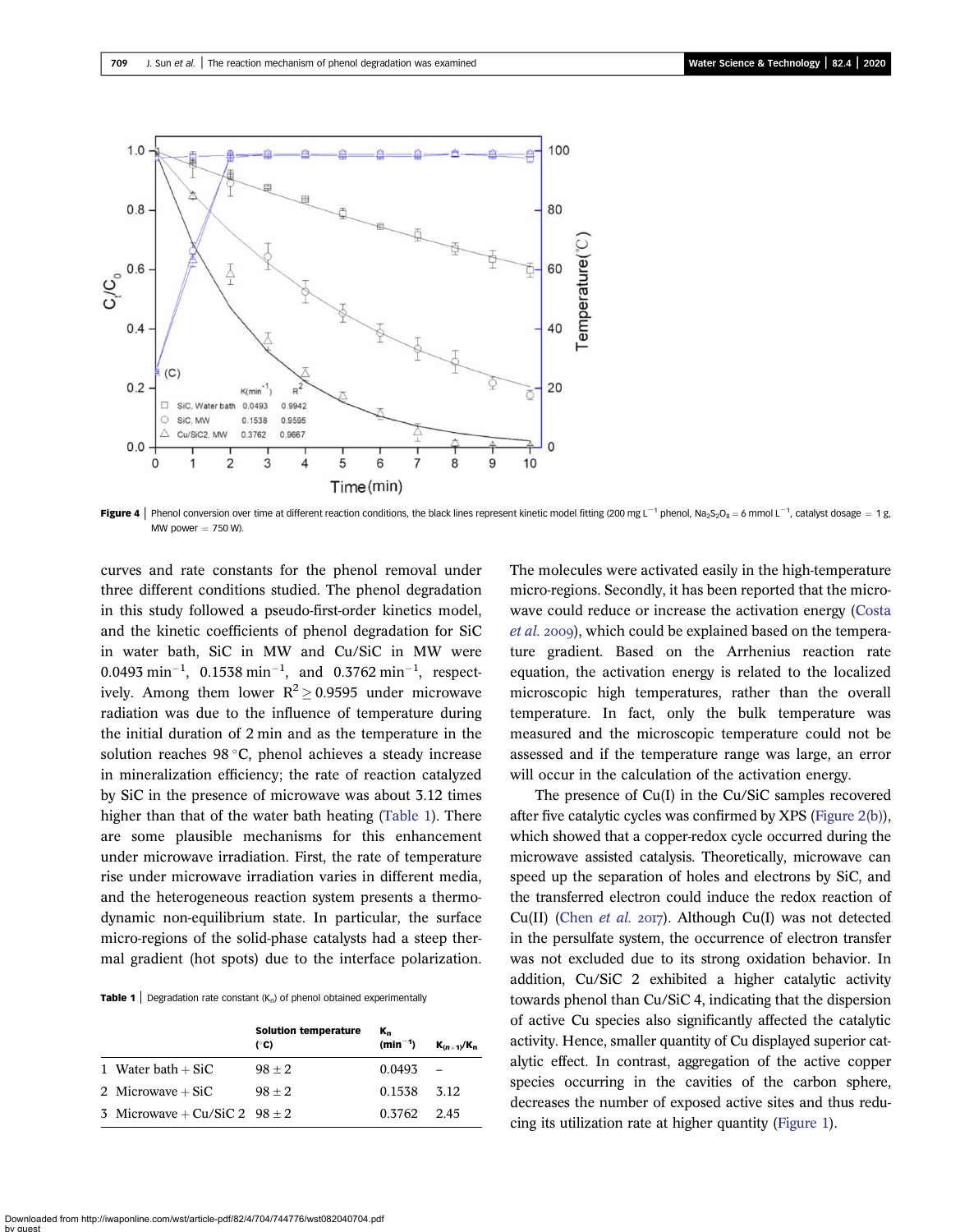<span id="page-5-0"></span>

**Figure 4** | Phenol conversion over time at different reaction conditions, the black lines represent kinetic model fitting (200 mg L<sup>-1</sup> phenol, Na<sub>2</sub>S<sub>2</sub>O<sub>8</sub> = 6 mmol L<sup>-1</sup>, catalyst dosage = 1 g,  $M$ W nower  $-750$  W)

curves and rate constants for the phenol removal under three different conditions studied. The phenol degradation in this study followed a pseudo-first-order kinetics model, and the kinetic coefficients of phenol degradation for SiC in water bath, SiC in MW and Cu/SiC in MW were  $0.0493 \text{ min}^{-1}$ ,  $0.1538 \text{ min}^{-1}$ , and  $0.3762 \text{ min}^{-1}$ , respectively. Among them lower  $R^2 \ge 0.9595$  under microwave radiation was due to the influence of temperature during the initial duration of 2 min and as the temperature in the solution reaches  $98 °C$ , phenol achieves a steady increase in mineralization efficiency; the rate of reaction catalyzed by SiC in the presence of microwave was about 3.12 times higher than that of the water bath heating (Table 1). There are some plausible mechanisms for this enhancement under microwave irradiation. First, the rate of temperature rise under microwave irradiation varies in different media, and the heterogeneous reaction system presents a thermodynamic non-equilibrium state. In particular, the surface micro-regions of the solid-phase catalysts had a steep thermal gradient (hot spots) due to the interface polarization.

**Table 1** Degradation rate constant  $(K_n)$  of phenol obtained experimentally

|                                   | <b>Solution temperature</b><br>(°C) | K.<br>$(min^{-1})$ | $K_{(n+1)}/K_n$ |
|-----------------------------------|-------------------------------------|--------------------|-----------------|
| 1 Water bath $+$ SiC              | $98 + 2$                            | 0.0493             |                 |
| 2 Microwave $+SiC$                | $98 + 2$                            | 0.1538             | 3.12            |
| 3 Microwave + Cu/SiC 2 $98 \pm 2$ |                                     | 0.3762             | 2.45            |

The molecules were activated easily in the high-temperature micro-regions. Secondly, it has been reported that the microwave could reduce or increase the activation energy [\(Costa](#page-9-0) [et al.](#page-9-0) 2009), which could be explained based on the temperature gradient. Based on the Arrhenius reaction rate equation, the activation energy is related to the localized microscopic high temperatures, rather than the overall temperature. In fact, only the bulk temperature was measured and the microscopic temperature could not be assessed and if the temperature range was large, an error will occur in the calculation of the activation energy.

The presence of Cu(I) in the Cu/SiC samples recovered after five catalytic cycles was confirmed by XPS ([Figure 2\(b\)\)](#page-4-0), which showed that a copper-redox cycle occurred during the microwave assisted catalysis. Theoretically, microwave can speed up the separation of holes and electrons by SiC, and the transferred electron could induce the redox reaction of Cu(II) [\(Chen](#page-9-0) et al. 2017). Although Cu(I) was not detected in the persulfate system, the occurrence of electron transfer was not excluded due to its strong oxidation behavior. In addition, Cu/SiC 2 exhibited a higher catalytic activity towards phenol than Cu/SiC 4, indicating that the dispersion of active Cu species also significantly affected the catalytic activity. Hence, smaller quantity of Cu displayed superior catalytic effect. In contrast, aggregation of the active copper species occurring in the cavities of the carbon sphere, decreases the number of exposed active sites and thus reducing its utilization rate at higher quantity ([Figure 1\)](#page-3-0).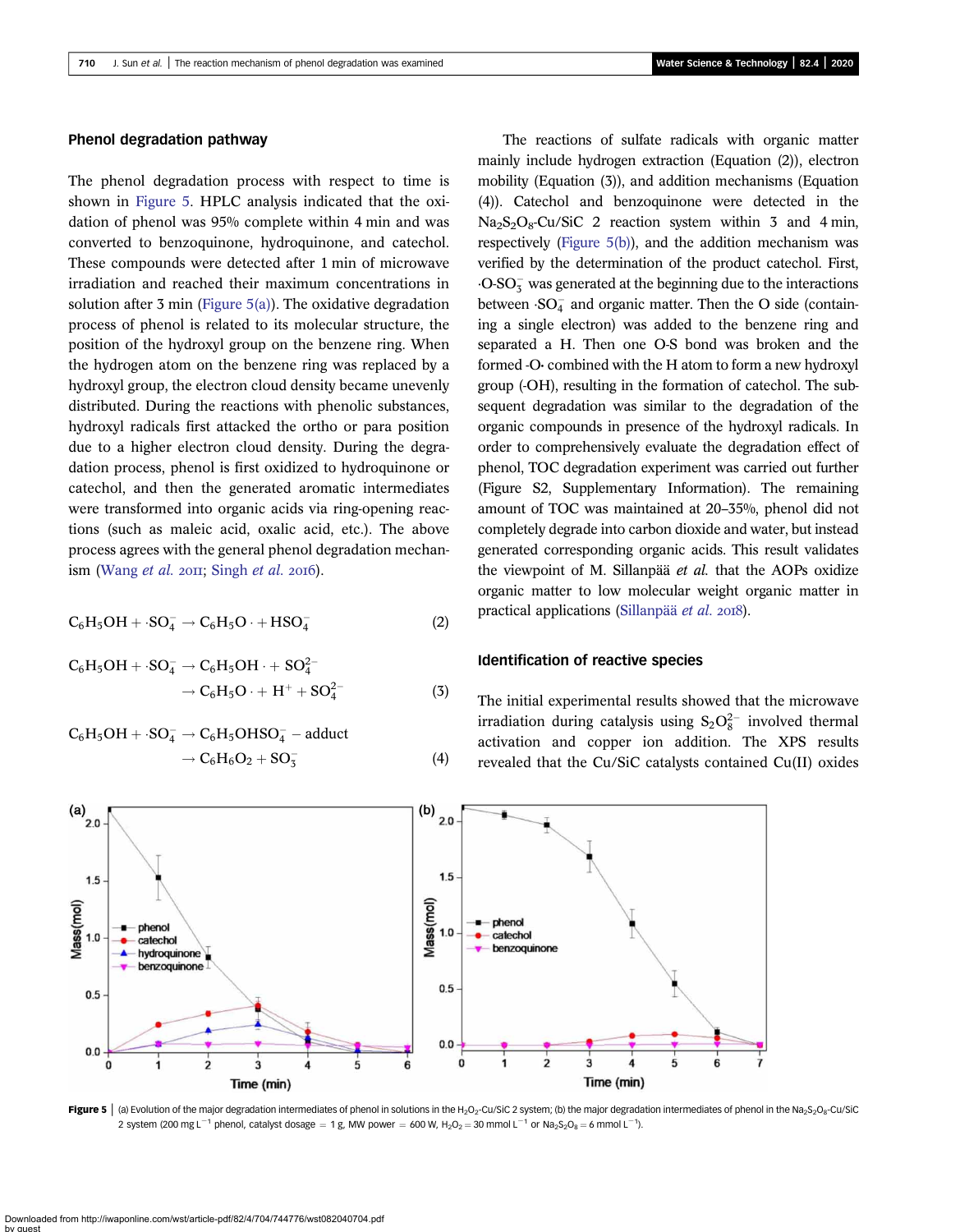### Phenol degradation pathway

The phenol degradation process with respect to time is shown in Figure 5. HPLC analysis indicated that the oxidation of phenol was 95% complete within 4 min and was converted to benzoquinone, hydroquinone, and catechol. These compounds were detected after 1 min of microwave irradiation and reached their maximum concentrations in solution after 3 min (Figure  $5(a)$ ). The oxidative degradation process of phenol is related to its molecular structure, the position of the hydroxyl group on the benzene ring. When the hydrogen atom on the benzene ring was replaced by a hydroxyl group, the electron cloud density became unevenly distributed. During the reactions with phenolic substances, hydroxyl radicals first attacked the ortho or para position due to a higher electron cloud density. During the degradation process, phenol is first oxidized to hydroquinone or catechol, and then the generated aromatic intermediates were transformed into organic acids via ring-opening reactions (such as maleic acid, oxalic acid, etc.). The above process agrees with the general phenol degradation mechan-ism ([Wang](#page-10-0) et al.  $20II$ ; [Singh](#page-10-0) et al.  $20I6$ ).

$$
C_6H_5OH + S O_4^- \rightarrow C_6H_5O \cdot + HSO_4^-
$$
 (2)

$$
C_6H_5OH + S O_4^- \rightarrow C_6H_5OH \cdot + SO_4^{2-} \rightarrow C_6H_5O \cdot + H^+ + SO_4^{2-}
$$
 (3)

$$
C_6H_5OH + S O_4^- \rightarrow C_6H_5OHSO_4^- - adduct\n\rightarrow C_6H_6O_2 + SO_3^-
$$
\n(4)

The reactions of sulfate radicals with organic matter mainly include hydrogen extraction (Equation (2)), electron mobility (Equation (3)), and addition mechanisms (Equation (4)). Catechol and benzoquinone were detected in the  $Na<sub>2</sub>S<sub>2</sub>O<sub>8</sub>$ -Cu/SiC 2 reaction system within 3 and 4 min, respectively (Figure 5(b)), and the addition mechanism was verified by the determination of the product catechol. First,  $\cdot$ O-SO<sub>3</sub> was generated at the beginning due to the interactions between  $SO_4^-$  and organic matter. Then the O side (containing a single electron) was added to the benzene ring and separated a H. Then one O-S bond was broken and the formed -O· combined with the H atom to form a new hydroxyl group (-OH), resulting in the formation of catechol. The subsequent degradation was similar to the degradation of the organic compounds in presence of the hydroxyl radicals. In order to comprehensively evaluate the degradation effect of phenol, TOC degradation experiment was carried out further (Figure S2, Supplementary Information). The remaining amount of TOC was maintained at 20–35%, phenol did not completely degrade into carbon dioxide and water, but instead generated corresponding organic acids. This result validates the viewpoint of M. Sillanpää et al. that the AOPs oxidize organic matter to low molecular weight organic matter in practical applications ([Sillanpää](#page-10-0) et al. 2018).

#### Identification of reactive species

The initial experimental results showed that the microwave irradiation during catalysis using  $S_2O_8^{2-}$  involved thermal activation and copper ion addition. The XPS results revealed that the Cu/SiC catalysts contained Cu(II) oxides



Figure 5 | (a) Evolution of the major degradation intermediates of phenol in solutions in the H<sub>2</sub>O<sub>2</sub>-Cu/SiC 2 system; (b) the major degradation intermediates of phenol in the Na<sub>2</sub>S<sub>2</sub>O<sub>8</sub>-Cu/SiC 2 system (200 mg L<sup>-1</sup> phenol, catalyst dosage = 1 g, MW power = 600 W, H<sub>2</sub>O<sub>2</sub> = 30 mmol L<sup>-1</sup> or Na<sub>2</sub>S<sub>2</sub>O<sub>8</sub> = 6 mmol L<sup>-1</sup>).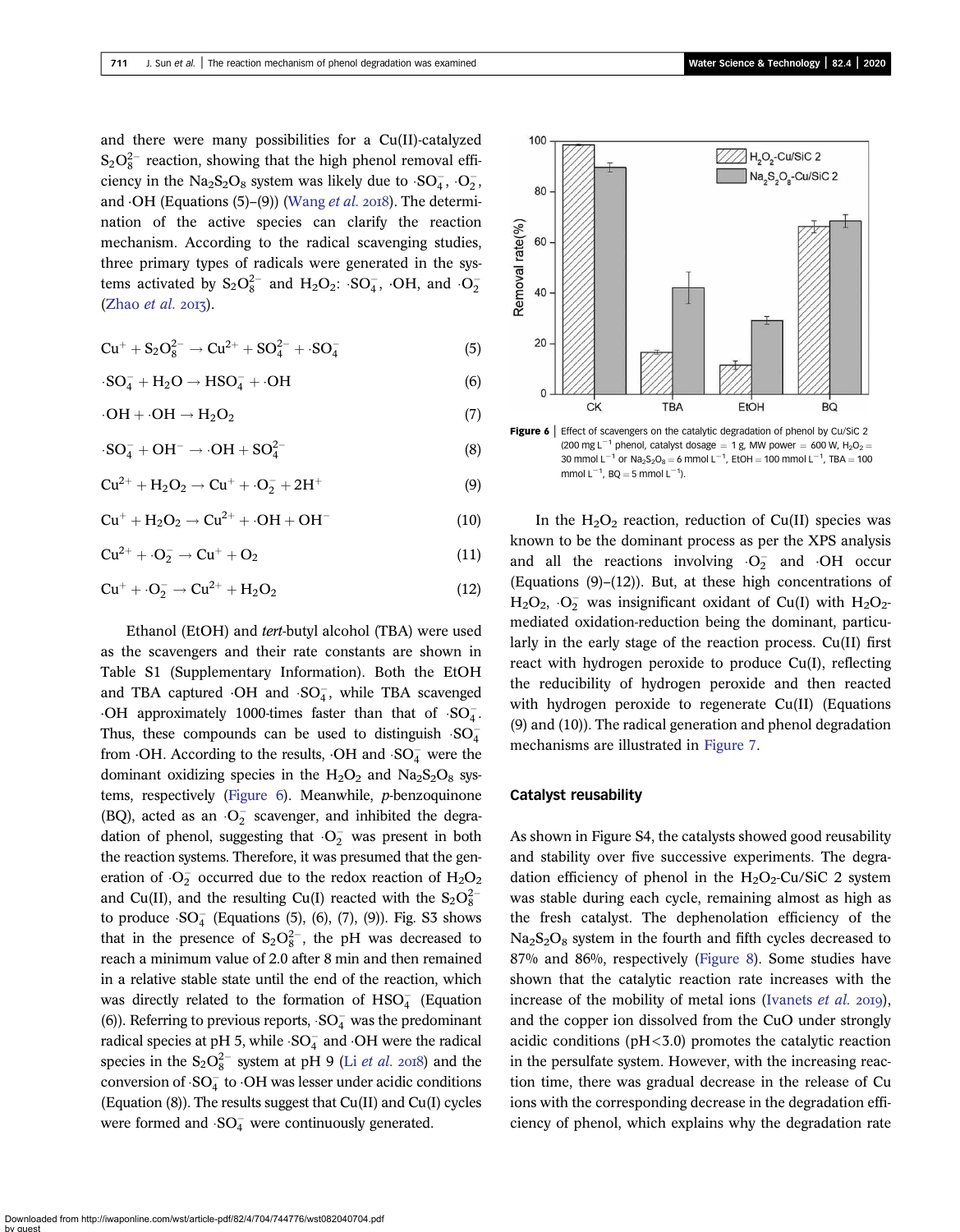<span id="page-7-0"></span>and there were many possibilities for a Cu(II)-catalyzed  $S_2O_8^{2-}$  reaction, showing that the high phenol removal efficiency in the  $Na<sub>2</sub>S<sub>2</sub>O<sub>8</sub>$  system was likely due to  $SO<sub>4</sub>$ ,  $O<sub>2</sub>$ , and  $\cdot$ OH (Equations (5)–(9)) ([Wang](#page-10-0) *et al.* 2018). The determination of the active species can clarify the reaction mechanism. According to the radical scavenging studies, three primary types of radicals were generated in the systems activated by  $S_2O_8^{2-}$  and  $H_2O_2$ :  $SO_4^-$ ,  $\cdot OH$ , and  $\cdot O_2^ (Zhao et al. 2013).$  $(Zhao et al. 2013).$ 

$$
Cu^{+} + S_{2}O_{8}^{2-} \rightarrow Cu^{2+} + SO_{4}^{2-} + \cdot SO_{4}^{-}
$$
 (5)

$$
\cdot SO_4^- + H_2O \rightarrow HSO_4^- + \cdot OH \tag{6}
$$

$$
\cdot OH + \cdot OH \rightarrow H_2O_2 \tag{7}
$$

$$
\cdot SO_4^- + OH^- \rightarrow \cdot OH + SO_4^{2-} \tag{8}
$$

$$
Cu^{2+} + H_2O_2 \rightarrow Cu^+ + O_2^- + 2H^+ \tag{9}
$$

$$
Cu^+ + H_2O_2 \rightarrow Cu^{2+} + \cdot OH + OH^-
$$
 (10)

$$
Cu^{2+} + O_2^- \rightarrow Cu^+ + O_2 \tag{11}
$$

$$
Cu^+ + \cdot O_2^- \rightarrow Cu^{2+} + H_2O_2 \tag{12}
$$

Ethanol (EtOH) and tert-butyl alcohol (TBA) were used as the scavengers and their rate constants are shown in Table S1 (Supplementary Information). Both the EtOH and TBA captured  $\cdot$ OH and  $SO_4^-$ , while TBA scavenged  $\cdot$ OH approximately 1000-times faster than that of  $SO_4^-$ . Thus, these compounds can be used to distinguish  $SO_4^$ from  $\cdot$ OH. According to the results,  $\cdot$ OH and  $\cdot$ SO<sub>4</sub> were the dominant oxidizing species in the  $H_2O_2$  and  $Na_2S_2O_8$  systems, respectively (Figure 6). Meanwhile, p-benzoquinone (BQ), acted as an  $O_2^-$  scavenger, and inhibited the degradation of phenol, suggesting that  $\cdot$ O<sub>2</sub> was present in both the reaction systems. Therefore, it was presumed that the generation of  $O_2^-$  occurred due to the redox reaction of  $H_2O_2$ and Cu(II), and the resulting Cu(I) reacted with the  $S_2O_8^{2-}$ to produce  $SO_4^-$  (Equations (5), (6), (7), (9)). Fig. S3 shows that in the presence of  $S_2O_8^{2-}$ , the pH was decreased to reach a minimum value of 2.0 after 8 min and then remained in a relative stable state until the end of the reaction, which was directly related to the formation of  $\text{HSO}_4^-$  (Equation (6)). Referring to previous reports,  $SO_4^-$  was the predominant radical species at pH 5, while  $SO_4^-$  and  $\cdot$ OH were the radical species in the  $S_2O_8^{2-}$  system at pH 9 (Li *[et al.](#page-9-0)* 2018) and the conversion of  $SO_4^-$  to  $\cdot$ OH was lesser under acidic conditions (Equation (8)). The results suggest that Cu(II) and Cu(I) cycles were formed and  $SO_4^-$  were continuously generated.



Figure 6 | Effect of scavengers on the catalytic degradation of phenol by Cu/SiC 2 (200 mg L<sup>-1</sup> phenol, catalyst dosage = 1 g, MW power = 600 W, H<sub>2</sub>O<sub>2</sub> = 30 mmol  $L^{-1}$  or Na<sub>2</sub>S<sub>2</sub>O<sub>8</sub> = 6 mmol  $L^{-1}$ , EtOH = 100 mmol  $L^{-1}$ , TBA = 100 mmol  $L^{-1}$ , BQ = 5 mmol  $L^{-1}$ ).

In the  $H_2O_2$  reaction, reduction of Cu(II) species was known to be the dominant process as per the XPS analysis and all the reactions involving  $O_2^-$  and OH occur (Equations (9)–(12)). But, at these high concentrations of  $H_2O_2$ ,  $O_2^-$  was insignificant oxidant of Cu(I) with  $H_2O_2$ mediated oxidation-reduction being the dominant, particularly in the early stage of the reaction process. Cu(II) first react with hydrogen peroxide to produce Cu(I), reflecting the reducibility of hydrogen peroxide and then reacted with hydrogen peroxide to regenerate Cu(II) (Equations (9) and (10)). The radical generation and phenol degradation mechanisms are illustrated in [Figure 7.](#page-8-0)

#### Catalyst reusability

As shown in Figure S4, the catalysts showed good reusability and stability over five successive experiments. The degradation efficiency of phenol in the  $H_2O_2$ -Cu/SiC 2 system was stable during each cycle, remaining almost as high as the fresh catalyst. The dephenolation efficiency of the  $Na<sub>2</sub>S<sub>2</sub>O<sub>8</sub>$  system in the fourth and fifth cycles decreased to 87% and 86%, respectively [\(Figure 8\)](#page-8-0). Some studies have shown that the catalytic reaction rate increases with the increase of the mobility of metal ions ([Ivanets](#page-9-0) *et al.* 2019), and the copper ion dissolved from the CuO under strongly acidic conditions ( $pH < 3.0$ ) promotes the catalytic reaction in the persulfate system. However, with the increasing reaction time, there was gradual decrease in the release of Cu ions with the corresponding decrease in the degradation efficiency of phenol, which explains why the degradation rate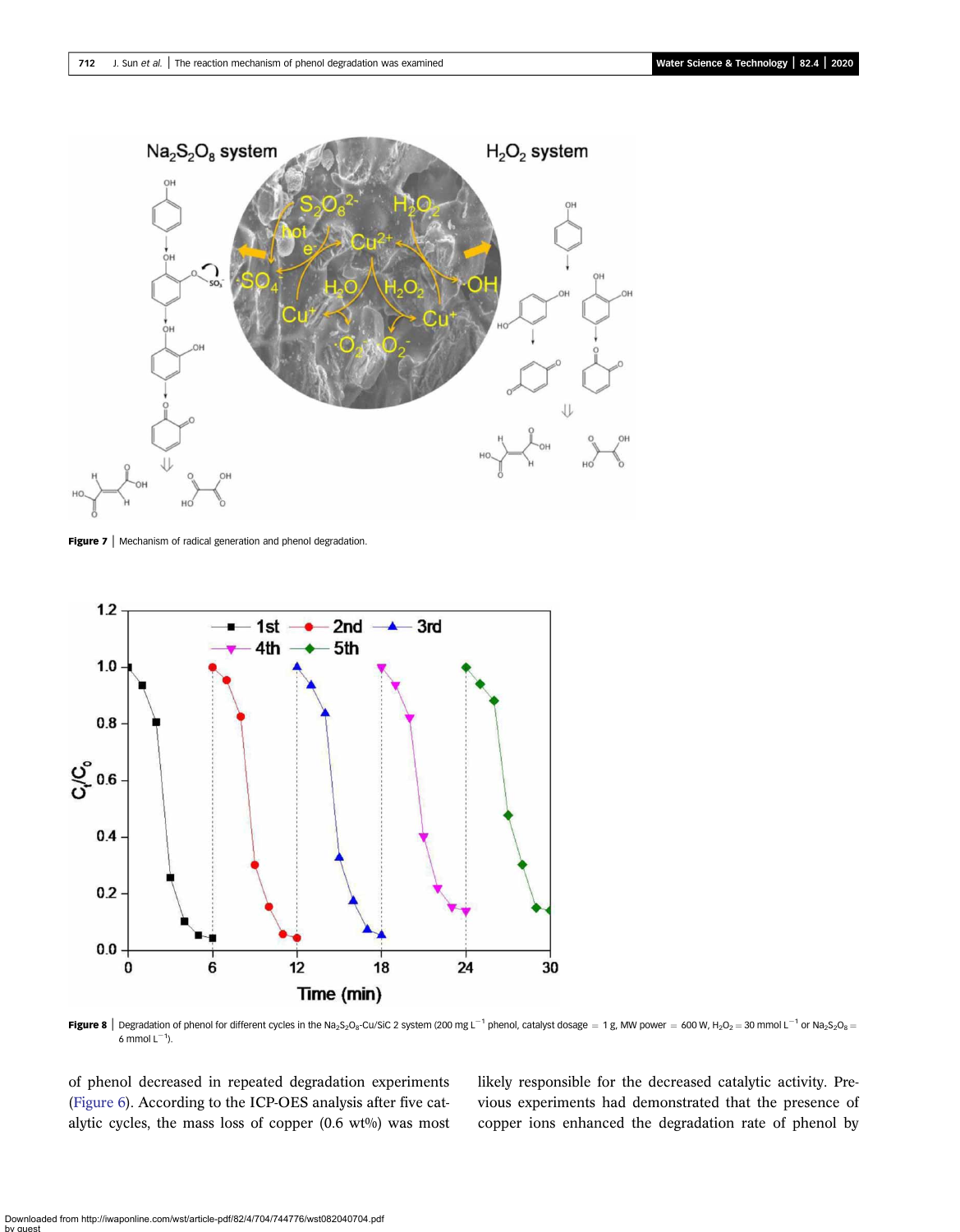<span id="page-8-0"></span>

Figure 7 | Mechanism of radical generation and phenol degradation.



Figure 8 | Degradation of phenol for different cycles in the Na<sub>2</sub>S<sub>2</sub>O<sub>8</sub>-Cu/SiC 2 system (200 mg L<sup>-1</sup> phenol, catalyst dosage = 1g, MW power = 600 W, H<sub>2</sub>O<sub>2</sub> = 30 mmol L<sup>-1</sup> or Na<sub>2</sub>S<sub>2</sub>O<sub>8</sub> = 6 mmol  $L^{-1}$ ).

of phenol decreased in repeated degradation experiments ([Figure 6\)](#page-7-0). According to the ICP-OES analysis after five catalytic cycles, the mass loss of copper  $(0.6 \text{ wt\%})$  was most

likely responsible for the decreased catalytic activity. Previous experiments had demonstrated that the presence of copper ions enhanced the degradation rate of phenol by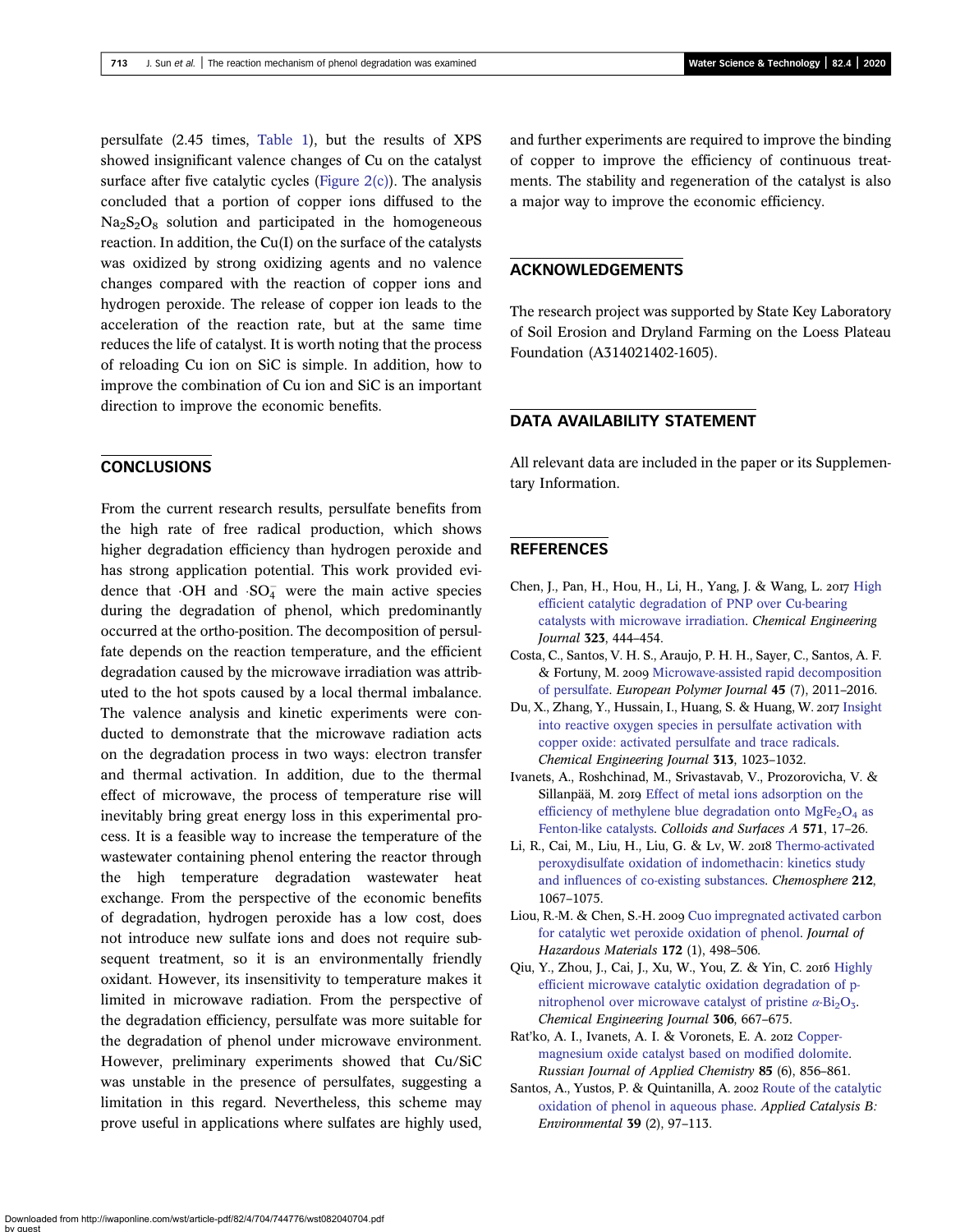<span id="page-9-0"></span>persulfate (2.45 times, [Table 1](#page-5-0)), but the results of XPS showed insignificant valence changes of Cu on the catalyst surface after five catalytic cycles ([Figure 2\(c\)](#page-4-0)). The analysis concluded that a portion of copper ions diffused to the  $Na<sub>2</sub>S<sub>2</sub>O<sub>8</sub>$  solution and participated in the homogeneous reaction. In addition, the Cu(I) on the surface of the catalysts was oxidized by strong oxidizing agents and no valence changes compared with the reaction of copper ions and hydrogen peroxide. The release of copper ion leads to the acceleration of the reaction rate, but at the same time reduces the life of catalyst. It is worth noting that the process of reloading Cu ion on SiC is simple. In addition, how to improve the combination of Cu ion and SiC is an important direction to improve the economic benefits.

# **CONCLUSIONS**

From the current research results, persulfate benefits from the high rate of free radical production, which shows higher degradation efficiency than hydrogen peroxide and has strong application potential. This work provided evidence that  $\cdot$ OH and  $\cdot$ SO<sub>4</sub> were the main active species during the degradation of phenol, which predominantly occurred at the ortho-position. The decomposition of persulfate depends on the reaction temperature, and the efficient degradation caused by the microwave irradiation was attributed to the hot spots caused by a local thermal imbalance. The valence analysis and kinetic experiments were conducted to demonstrate that the microwave radiation acts on the degradation process in two ways: electron transfer and thermal activation. In addition, due to the thermal effect of microwave, the process of temperature rise will inevitably bring great energy loss in this experimental process. It is a feasible way to increase the temperature of the wastewater containing phenol entering the reactor through the high temperature degradation wastewater heat exchange. From the perspective of the economic benefits of degradation, hydrogen peroxide has a low cost, does not introduce new sulfate ions and does not require subsequent treatment, so it is an environmentally friendly oxidant. However, its insensitivity to temperature makes it limited in microwave radiation. From the perspective of the degradation efficiency, persulfate was more suitable for the degradation of phenol under microwave environment. However, preliminary experiments showed that Cu/SiC was unstable in the presence of persulfates, suggesting a limitation in this regard. Nevertheless, this scheme may prove useful in applications where sulfates are highly used,

and further experiments are required to improve the binding of copper to improve the efficiency of continuous treatments. The stability and regeneration of the catalyst is also a major way to improve the economic efficiency.

# ACKNOWLEDGEMENTS

The research project was supported by State Key Laboratory of Soil Erosion and Dryland Farming on the Loess Plateau Foundation (A314021402-1605).

## DATA AVAILABILITY STATEMENT

All relevant data are included in the paper or its Supplementary Information.

# **REFERENCES**

- Chen, J., Pan, H., Hou, H., Li, H., Yang, J. & Wang, L. 2017 [High](http://dx.doi.org/10.1016/j.cej.2017.04.122) [efficient catalytic degradation of PNP over Cu-bearing](http://dx.doi.org/10.1016/j.cej.2017.04.122) [catalysts with microwave irradiation](http://dx.doi.org/10.1016/j.cej.2017.04.122). Chemical Engineering Journal 323, 444–454.
- Costa, C., Santos, V. H. S., Araujo, P. H. H., Sayer, C., Santos, A. F. & Fortuny, M. 2009 [Microwave-assisted rapid decomposition](http://dx.doi.org/10.1016/j.eurpolymj.2009.04.006) [of persulfate.](http://dx.doi.org/10.1016/j.eurpolymj.2009.04.006) European Polymer Journal 45 (7), 2011–2016.
- Du, X., Zhang, Y., Hussain, I., Huang, S. & Huang, W. 2017 [Insight](http://dx.doi.org/10.1016/j.cej.2016.10.138) [into reactive oxygen species in persulfate activation with](http://dx.doi.org/10.1016/j.cej.2016.10.138) [copper oxide: activated persulfate and trace radicals](http://dx.doi.org/10.1016/j.cej.2016.10.138). Chemical Engineering Journal 313, 1023–1032.
- Ivanets, A., Roshchinad, M., Srivastavab, V., Prozorovicha, V. & Sillanpää, M. 2019 [Effect of metal ions adsorption on the](http://dx.doi.org/10.1016/j.colsurfa.2019.03.071) efficiency of methylene blue degradation onto  $MgFe<sub>2</sub>O<sub>4</sub>$  [as](http://dx.doi.org/10.1016/j.colsurfa.2019.03.071) [Fenton-like catalysts](http://dx.doi.org/10.1016/j.colsurfa.2019.03.071). Colloids and Surfaces A 571, 17–26.
- Li, R., Cai, M., Liu, H., Liu, G. & Lv, W. 2018 [Thermo-activated](http://dx.doi.org/10.1016/j.chemosphere.2018.08.126) [peroxydisulfate oxidation of indomethacin: kinetics study](http://dx.doi.org/10.1016/j.chemosphere.2018.08.126) [and influences of co-existing substances.](http://dx.doi.org/10.1016/j.chemosphere.2018.08.126) Chemosphere 212, 1067–1075.
- Liou, R.-M. & Chen, S.-H. 2009 [Cuo impregnated activated carbon](http://dx.doi.org/10.1016/j.jhazmat.2009.07.012) [for catalytic wet peroxide oxidation of phenol](http://dx.doi.org/10.1016/j.jhazmat.2009.07.012). Journal of Hazardous Materials 172 (1), 498–506.
- Qiu, Y., Zhou, J., Cai, J., Xu, W., You, Z. & Yin, C. 2016 [Highly](http://dx.doi.org/10.1016/j.cej.2016.06.133) [efficient microwave catalytic oxidation degradation of p](http://dx.doi.org/10.1016/j.cej.2016.06.133)[nitrophenol over microwave catalyst of pristine](http://dx.doi.org/10.1016/j.cej.2016.06.133)  $\alpha$ -Bi<sub>2</sub>O<sub>3</sub>. Chemical Engineering Journal 306, 667–675.
- Rat'ko, A. I., Ivanets, A. I. & Voronets, E. A. 2012 [Copper](http://dx.doi.org/10.1134/S1070427212060031)[magnesium oxide catalyst based on modified dolomite.](http://dx.doi.org/10.1134/S1070427212060031) Russian Journal of Applied Chemistry 85 (6), 856–861.
- Santos, A., Yustos, P. & Quintanilla, A. 2002 [Route of the catalytic](http://dx.doi.org/10.1016/S0926-3373(02)00087-5) [oxidation of phenol in aqueous phase.](http://dx.doi.org/10.1016/S0926-3373(02)00087-5) Applied Catalysis B: Environmental 39 (2), 97–113.